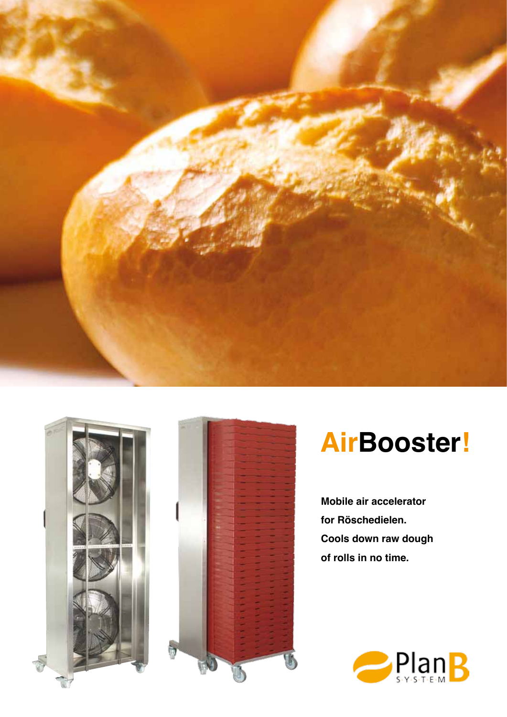





# **AirBooster!**

**Mobile air accelerator for Röschedielen. Cools down raw dough of rolls in no time.**

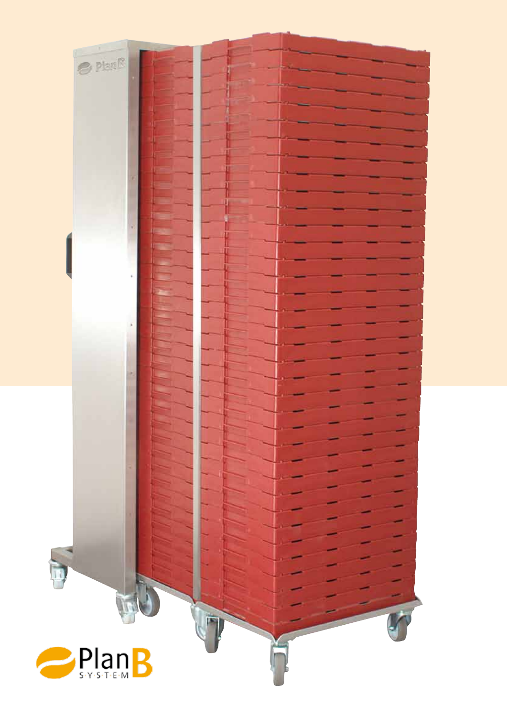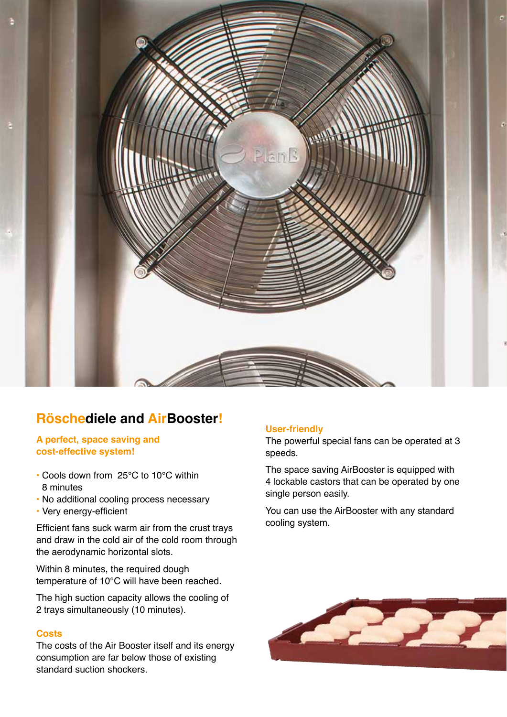

### **Röschediele and AirBooster!**

#### **A perfect, space saving and cost-effective system!**

- Cools down from 25°C to 10°C within 8 minutes
- No additional cooling process necessary
- Very energy-efficient

Efficient fans suck warm air from the crust trays and draw in the cold air of the cold room through the aerodynamic horizontal slots.

Within 8 minutes, the required dough temperature of 10°C will have been reached.

The high suction capacity allows the cooling of 2 trays simultaneously (10 minutes).

#### **Costs**

The costs of the Air Booster itself and its energy consumption are far below those of existing standard suction shockers.

#### **User-friendly**

The powerful special fans can be operated at 3 speeds.

The space saving AirBooster is equipped with 4 lockable castors that can be operated by one single person easily.

You can use the AirBooster with any standard cooling system.